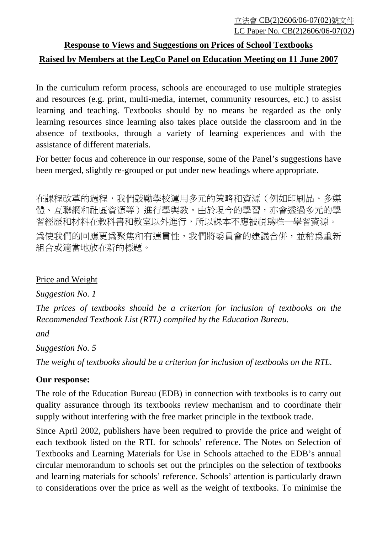立法會 CB(2)2606/06-07(02)號文件 LC Paper No. CB(2)2606/06-07(02)

# **Response to Views and Suggestions on Prices of School Textbooks Raised by Members at the LegCo Panel on Education Meeting on 11 June 2007**

In the curriculum reform process, schools are encouraged to use multiple strategies and resources (e.g. print, multi-media, internet, community resources, etc.) to assist learning and teaching. Textbooks should by no means be regarded as the only learning resources since learning also takes place outside the classroom and in the absence of textbooks, through a variety of learning experiences and with the assistance of different materials.

For better focus and coherence in our response, some of the Panel's suggestions have been merged, slightly re-grouped or put under new headings where appropriate.

在課程改革的過程,我們鼓勵學校運用多元的策略和資源(例如印刷品、多媒 體、互聯網和社區資源等)進行學與教。由於現今的學習,亦會透過多元的學 習經歷和材料在教科書和教室以外進行,所以課本不應被視為唯一學習資源。 為使我們的回應更為聚焦和有連貫性,我們將委員會的建議合併,並稍為重新 組合或適當地放在新的標題。

## Price and Weight

*Suggestion No. 1* 

*The prices of textbooks should be a criterion for inclusion of textbooks on the Recommended Textbook List (RTL) compiled by the Education Bureau.* 

*and* 

*Suggestion No. 5* 

*The weight of textbooks should be a criterion for inclusion of textbooks on the RTL.* 

### **Our response:**

The role of the Education Bureau (EDB) in connection with textbooks is to carry out quality assurance through its textbooks review mechanism and to coordinate their supply without interfering with the free market principle in the textbook trade.

Since April 2002, publishers have been required to provide the price and weight of each textbook listed on the RTL for schools' reference. The Notes on Selection of Textbooks and Learning Materials for Use in Schools attached to the EDB's annual circular memorandum to schools set out the principles on the selection of textbooks and learning materials for schools' reference. Schools' attention is particularly drawn to considerations over the price as well as the weight of textbooks. To minimise the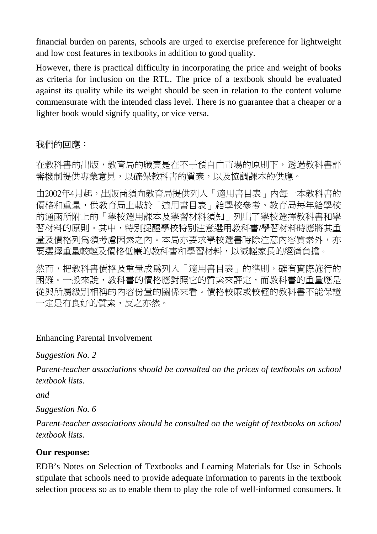financial burden on parents, schools are urged to exercise preference for lightweight and low cost features in textbooks in addition to good quality.

However, there is practical difficulty in incorporating the price and weight of books as criteria for inclusion on the RTL. The price of a textbook should be evaluated against its quality while its weight should be seen in relation to the content volume commensurate with the intended class level. There is no guarantee that a cheaper or a lighter book would signify quality, or vice versa.

# 我們的回應:

在教科書的出版,教育局的職責是在不干預自由市場的原則下,透過教科書評 審機制提供專業意見,以確保教科書的質素,以及協調課本的供應。

由2002年4月起,出版商須向教育局提供列入「適用書目表」內每一本教科書的 價格和重量,供教育局上載於「適用書目表」給學校參考。教育局每年給學校 的通函所附上的「學校選用課本及學習材料須知」列出了學校選擇教科書和學 習材料的原則。其中,特別捉醒學校特別注意選用教科書/學習材料時應將其重 量及價格列為須考慮因素之內。本局亦要求學校選書時除注意內容質素外,亦 要選擇重量較輕及價格低廉的教科書和學習材料,以減輕家長的經濟負擔。

然而,把教科書價格及重量成為列入「適用書目表」的準則,確有實際施行的 困難。一般來說,教科書的價格應對照它的質素來評定,而教科書的重量應是 從與所屬級別相稱的內容份量的關係來看。價格較廉或較輕的教科書不能保證 一定是有良好的質素,反之亦然。

### Enhancing Parental Involvement

*Suggestion No. 2* 

*Parent-teacher associations should be consulted on the prices of textbooks on school textbook lists.* 

*and* 

*Suggestion No. 6* 

*Parent-teacher associations should be consulted on the weight of textbooks on school textbook lists.* 

### **Our response:**

EDB's Notes on Selection of Textbooks and Learning Materials for Use in Schools stipulate that schools need to provide adequate information to parents in the textbook selection process so as to enable them to play the role of well-informed consumers. It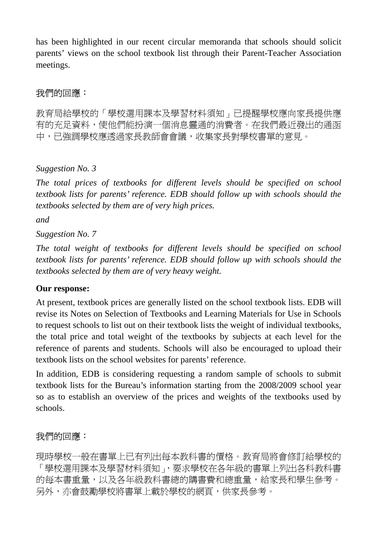has been highlighted in our recent circular memoranda that schools should solicit parents' views on the school textbook list through their Parent-Teacher Association meetings.

# 我們的回應:

教育局給學校的「學校選用課本及學習材料須知」已提醒學校應向家長提供應 有的充足資料,使他們能扮演一個消息靈通的消費者。在我們最近發出的通函 中,已強調學校應透過家長教師會會議,收集家長對學校書單的意見。

# *Suggestion No. 3*

*The total prices of textbooks for different levels should be specified on school textbook lists for parents' reference. EDB should follow up with schools should the textbooks selected by them are of very high prices.* 

*and* 

*Suggestion No. 7* 

*The total weight of textbooks for different levels should be specified on school textbook lists for parents' reference. EDB should follow up with schools should the textbooks selected by them are of very heavy weight.* 

### **Our response:**

At present, textbook prices are generally listed on the school textbook lists. EDB will revise its Notes on Selection of Textbooks and Learning Materials for Use in Schools to request schools to list out on their textbook lists the weight of individual textbooks, the total price and total weight of the textbooks by subjects at each level for the reference of parents and students. Schools will also be encouraged to upload their textbook lists on the school websites for parents' reference.

In addition, EDB is considering requesting a random sample of schools to submit textbook lists for the Bureau's information starting from the 2008/2009 school year so as to establish an overview of the prices and weights of the textbooks used by schools.

# 我們的回應:

現時學校一般在書單上已有列出每本教科書的價格。教育局將會修訂給學校的 「學校選用課本及學習材料須知」,要求學校在各年級的書單上列出各科教科書 的每本書重量,以及各年級教科書總的購書費和總重量,給家長和學生參考。 另外,亦會鼓勵學校將書單上載於學校的網頁,供家長參考。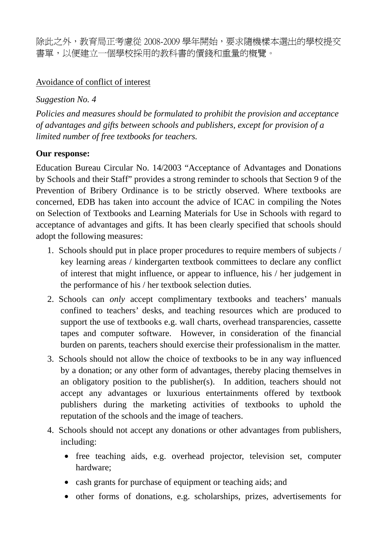除此之外,教育局正考慮從 2008-2009 學年開始,要求隨機樣本選出的學校提交 書單,以便建立一個學校採用的教科書的價錢和重量的概覽。

## Avoidance of conflict of interest

### *Suggestion No. 4*

*Policies and measures should be formulated to prohibit the provision and acceptance of advantages and gifts between schools and publishers, except for provision of a limited number of free textbooks for teachers.* 

## **Our response:**

Education Bureau Circular No. 14/2003 "Acceptance of Advantages and Donations by Schools and their Staff" provides a strong reminder to schools that Section 9 of the Prevention of Bribery Ordinance is to be strictly observed. Where textbooks are concerned, EDB has taken into account the advice of ICAC in compiling the Notes on Selection of Textbooks and Learning Materials for Use in Schools with regard to acceptance of advantages and gifts. It has been clearly specified that schools should adopt the following measures:

- 1. Schools should put in place proper procedures to require members of subjects / key learning areas / kindergarten textbook committees to declare any conflict of interest that might influence, or appear to influence, his / her judgement in the performance of his / her textbook selection duties.
- 2. Schools can *only* accept complimentary textbooks and teachers' manuals confined to teachers' desks, and teaching resources which are produced to support the use of textbooks e.g. wall charts, overhead transparencies, cassette tapes and computer software. However, in consideration of the financial burden on parents, teachers should exercise their professionalism in the matter.
- 3. Schools should not allow the choice of textbooks to be in any way influenced by a donation; or any other form of advantages, thereby placing themselves in an obligatory position to the publisher(s). In addition, teachers should not accept any advantages or luxurious entertainments offered by textbook publishers during the marketing activities of textbooks to uphold the reputation of the schools and the image of teachers.
- 4. Schools should not accept any donations or other advantages from publishers, including:
	- free teaching aids, e.g. overhead projector, television set, computer hardware;
	- cash grants for purchase of equipment or teaching aids; and
	- other forms of donations, e.g. scholarships, prizes, advertisements for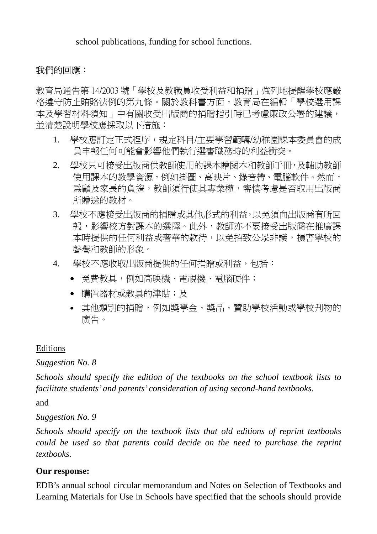school publications, funding for school functions.

# 我們的回應:

教育局通告第 14/2003 號「學校及教職員收受利益和捐贈」強列地提醒學校應嚴 格遵守防止賄賂法例的第九條。關於教科書方面,教育局在編輯「學校選用課 本及學習材料須知」中有關收受出版商的捐贈指引時已考慮廉政公署的建議, 並清楚說明學校應採取以下措施:

- 1. 學校應訂定正式程序,規定科目/主要學習範疇/幼稚園課本委員會的成 員申報任何可能會影響他們執行選書職務時的利益衝突。
- 2. 學校只可接受出版商供教師使用的課本贈閱本和教師手冊,及輔助教師 使用課本的教學資源,例如掛圖、高映片、錄音帶、電腦軟件。然而, 為顧及家長的負擔,教師須行使其專業權,審慎考慮是否取用出版商 所贈送的教材。
- 3. 學校不應接受出版商的捐贈或其他形式的利益,以免須向出版商有所回 報,影響校方對課本的選擇。此外,教師亦不要接受出版商在推廣課 本時提供的任何利益或奢華的款待,以免招致公眾非議,損害學校的 聲譽和教師的形象。
- 4. 學校不應收取出版商提供的任何捐贈或利益,包括:
	- 免費教具,例如高映機、電視機、電腦硬件;
	- 購置器材或教具的津貼;及
	- 其他類別的捐贈,例如獎學金、獎品、贊助學校活動或學校刋物的 廣告。

# Editions

*Suggestion No. 8* 

*Schools should specify the edition of the textbooks on the school textbook lists to facilitate students' and parents' consideration of using second-hand textbooks*.

and

*Suggestion No. 9* 

*Schools should specify on the textbook lists that old editions of reprint textbooks could be used so that parents could decide on the need to purchase the reprint textbooks.* 

## **Our response:**

EDB's annual school circular memorandum and Notes on Selection of Textbooks and Learning Materials for Use in Schools have specified that the schools should provide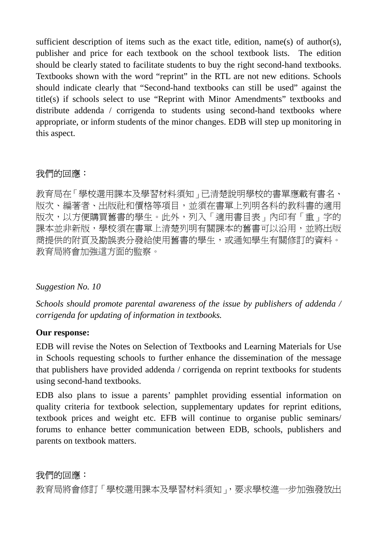sufficient description of items such as the exact title, edition, name(s) of author(s), publisher and price for each textbook on the school textbook lists. The edition should be clearly stated to facilitate students to buy the right second-hand textbooks. Textbooks shown with the word "reprint" in the RTL are not new editions. Schools should indicate clearly that "Second-hand textbooks can still be used" against the title(s) if schools select to use "Reprint with Minor Amendments" textbooks and distribute addenda / corrigenda to students using second-hand textbooks where appropriate, or inform students of the minor changes. EDB will step up monitoring in this aspect.

## 我們的回應:

教育局在「學校選用課本及學習材料須知」已清楚說明學校的書單應載有書名、 版次、編著者、出版社和價格等項目,並須在書單上列明各科的教科書的適用 版次,以方便購買舊書的學生。此外,列入「適用書目表」內印有「重」字的 課本並非新版,學校須在書單上清楚列明有關課本的舊書可以沿用,並將出版 商提供的附頁及勘誤表分發給使用舊書的學生,或通知學生有關修訂的資料。 教育局將會加強這方面的監察。

### *Suggestion No. 10*

*Schools should promote parental awareness of the issue by publishers of addenda / corrigenda for updating of information in textbooks.* 

#### **Our response:**

EDB will revise the Notes on Selection of Textbooks and Learning Materials for Use in Schools requesting schools to further enhance the dissemination of the message that publishers have provided addenda / corrigenda on reprint textbooks for students using second-hand textbooks.

EDB also plans to issue a parents' pamphlet providing essential information on quality criteria for textbook selection, supplementary updates for reprint editions, textbook prices and weight etc. EFB will continue to organise public seminars/ forums to enhance better communication between EDB, schools, publishers and parents on textbook matters.

## 我們的回應:

教育局將會修訂「學校選用課本及學習材料須知」,要求學校進一步加強發放出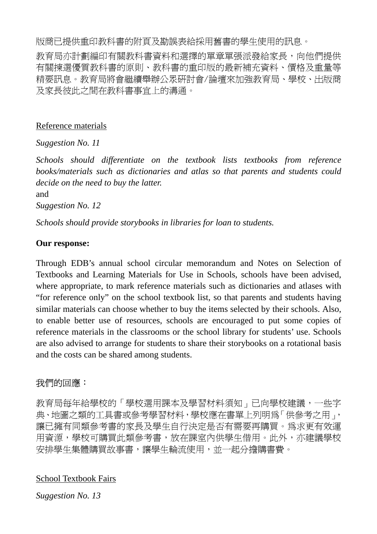版商已提供重印教科書的附頁及勘誤表給採用舊書的學生使用的訊息。

教育局亦計劃編印有關教科書資料和選擇的單章單張派發給家長,向他們提供 有關揀選優質教科書的原則、教科書的重印版的最新補充資料、價格及重量等 精要訊息。教育局將會繼續舉辦公眾研討會/論壇來加強教育局、學校、出版商 及家長彼此之間在教科書事宜上的溝通。

### Reference materials

### *Suggestion No. 11*

*Schools should differentiate on the textbook lists textbooks from reference books/materials such as dictionaries and atlas so that parents and students could decide on the need to buy the latter.* 

and

*Suggestion No. 12* 

*Schools should provide storybooks in libraries for loan to students.* 

### **Our response:**

Through EDB's annual school circular memorandum and Notes on Selection of Textbooks and Learning Materials for Use in Schools, schools have been advised, where appropriate, to mark reference materials such as dictionaries and atlases with "for reference only" on the school textbook list, so that parents and students having similar materials can choose whether to buy the items selected by their schools. Also, to enable better use of resources, schools are encouraged to put some copies of reference materials in the classrooms or the school library for students' use. Schools are also advised to arrange for students to share their storybooks on a rotational basis and the costs can be shared among students.

# 我們的回應:

教育局每年給學校的「學校選用課本及學習材料須知」已向學校建議,一些字 典、地圖之類的工具書或參考學習材料,學校應在書單上列明為「供參考之用」, 讓已擁有同類參考書的家長及學生自行決定是否有需要再購買。為求更有效運 用資源,學校可購買此類參考書,放在課室內供學生借用。此外,亦建議學校 安排學生集體購買故事書,讓學生輪流使用,並一起分擔購書費。

## School Textbook Fairs

*Suggestion No. 13*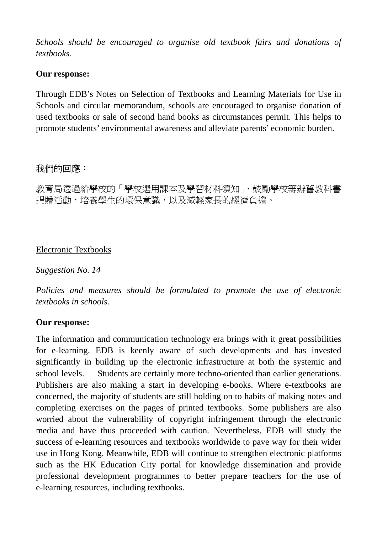*Schools should be encouraged to organise old textbook fairs and donations of textbooks.* 

### **Our response:**

Through EDB's Notes on Selection of Textbooks and Learning Materials for Use in Schools and circular memorandum, schools are encouraged to organise donation of used textbooks or sale of second hand books as circumstances permit. This helps to promote students' environmental awareness and alleviate parents' economic burden.

## 我們的回應:

教育局透過給學校的「學校選用課本及學習材料須知」,鼓勵學校籌辦舊教科書 捐贈活動,培養學生的環保意識,以及減輕家長的經濟負擔。

### Electronic Textbooks

*Suggestion No. 14* 

*Policies and measures should be formulated to promote the use of electronic textbooks in schools.* 

### **Our response:**

The information and communication technology era brings with it great possibilities for e-learning. EDB is keenly aware of such developments and has invested significantly in building up the electronic infrastructure at both the systemic and school levels. Students are certainly more techno-oriented than earlier generations. Publishers are also making a start in developing e-books. Where e-textbooks are concerned, the majority of students are still holding on to habits of making notes and completing exercises on the pages of printed textbooks. Some publishers are also worried about the vulnerability of copyright infringement through the electronic media and have thus proceeded with caution. Nevertheless, EDB will study the success of e-learning resources and textbooks worldwide to pave way for their wider use in Hong Kong. Meanwhile, EDB will continue to strengthen electronic platforms such as the HK Education City portal for knowledge dissemination and provide professional development programmes to better prepare teachers for the use of e-learning resources, including textbooks.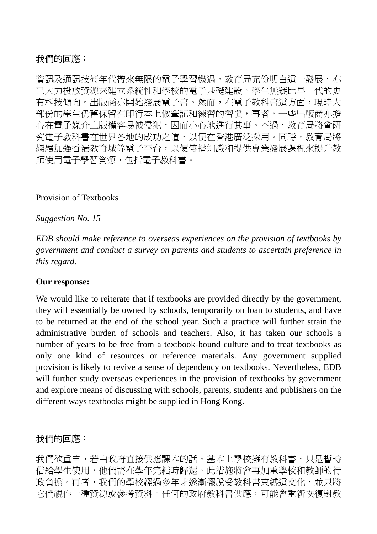# 我們的回應:

資訊及通訊技術年代帶來無限的電子學習機遇。教育局充份明白這一發展,亦 已大力投放資源來建立系統性和學校的電子基礎建設。學生無疑比早一代的更 有科技傾向。出版商亦開始發展電子書。然而,在電子教科書這方面,現時大 部份的學生仍舊保留在印行本上做筆記和練習的習慣,再者,一些出版商亦擔 心在電子媒介上版權容易被侵犯,因而小心地進行其事。不過,教育局將會硏 究電子教科書在世界各地的成功之道,以便在香港廣泛採用。同時,教育局將 繼續加强香港教育城等電子平台,以便傳播知識和提供専業發展課程來提升教 師使用電子學習資源,包括電子教科書。

#### Provision of Textbooks

#### *Suggestion No. 15*

*EDB should make reference to overseas experiences on the provision of textbooks by government and conduct a survey on parents and students to ascertain preference in this regard.* 

#### **Our response:**

We would like to reiterate that if textbooks are provided directly by the government, they will essentially be owned by schools, temporarily on loan to students, and have to be returned at the end of the school year. Such a practice will further strain the administrative burden of schools and teachers. Also, it has taken our schools a number of years to be free from a textbook-bound culture and to treat textbooks as only one kind of resources or reference materials. Any government supplied provision is likely to revive a sense of dependency on textbooks. Nevertheless, EDB will further study overseas experiences in the provision of textbooks by government and explore means of discussing with schools, parents, students and publishers on the different ways textbooks might be supplied in Hong Kong.

#### 我們的回應:

我們欲重申,若由政府直接供應課本的話,基本上學校擁有教科書,只是暫時 借給學生使用,他們需在學年完結時歸還。此措施將會再加重學校和教師的行 政負擔。再者,我們的學校經過多年才遂漸擺脫受教科書束縛這文化,並只將 它們視作一種資源或參考資料。任何的政府教科書供應,可能會重新恢復對教